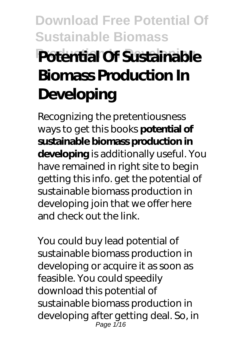# **Download Free Potential Of Sustainable Biomass Potential Of Sustainable Biomass Production In Developing**

Recognizing the pretentiousness ways to get this books **potential of sustainable biomass production in developing** is additionally useful. You have remained in right site to begin getting this info. get the potential of sustainable biomass production in developing join that we offer here and check out the link.

You could buy lead potential of sustainable biomass production in developing or acquire it as soon as feasible. You could speedily download this potential of sustainable biomass production in developing after getting deal. So, in Page 1/16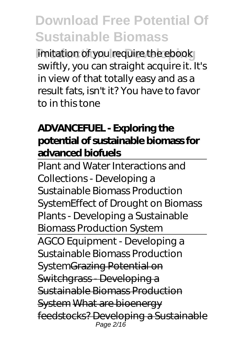**imitation of you require the ebook** swiftly, you can straight acquire it. It's in view of that totally easy and as a result fats, isn't it? You have to favor to in this tone

### **ADVANCEFUEL - Exploring the potential of sustainable biomass for advanced biofuels**

Plant and Water Interactions and Collections - Developing a Sustainable Biomass Production System*Effect of Drought on Biomass Plants - Developing a Sustainable Biomass Production System*

AGCO Equipment - Developing a Sustainable Biomass Production System Grazing Potential on Switchgrass - Developing a Sustainable Biomass Production System What are bioenergy feedstocks? Developing a Sustainable Page 2/16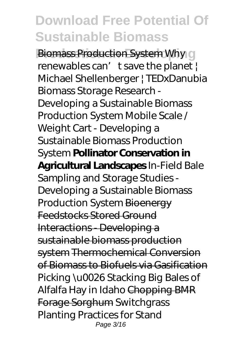**Biomass Production System Why O** renewables can' t save the planet | Michael Shellenberger | TEDxDanubia *Biomass Storage Research - Developing a Sustainable Biomass Production System Mobile Scale / Weight Cart - Developing a Sustainable Biomass Production System* **Pollinator Conservation in Agricultural Landscapes** In-Field Bale Sampling and Storage Studies - Developing a Sustainable Biomass Production System Bioenergy Feedstocks Stored Ground Interactions - Developing a sustainable biomass production system Thermochemical Conversion of Biomass to Biofuels via Gasification *Picking \u0026 Stacking Big Bales of Alfalfa Hay in Idaho* Chopping BMR Forage Sorghum Switchgrass Planting Practices for Stand Page 3/16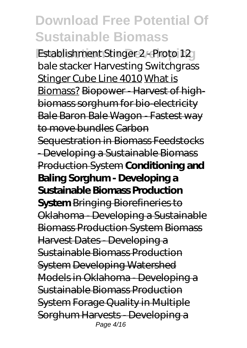**Establishment Stinger 2 - Proto 12** bale stacker *Harvesting Switchgrass* Stinger Cube Line 4010 What is Biomass? Biopower - Harvest of highbiomass sorghum for bio-electricity Bale Baron Bale Wagon - Fastest way to move bundles Carbon Sequestration in Biomass Feedstocks - Developing a Sustainable Biomass Production System **Conditioning and Baling Sorghum - Developing a Sustainable Biomass Production System** Bringing Biorefineries to Oklahoma - Developing a Sustainable Biomass Production System Biomass Harvest Dates - Developing a Sustainable Biomass Production System Developing Watershed Models in Oklahoma - Developing a Sustainable Biomass Production System Forage Quality in Multiple Sorghum Harvests - Developing a Page 4/16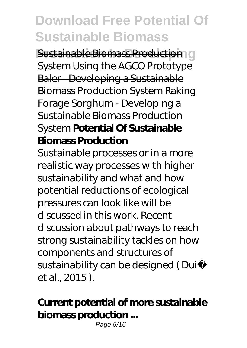**Sustainable Biomass Production** O System Using the AGCO Prototype Baler - Developing a Sustainable Biomass Production System Raking Forage Sorghum - Developing a Sustainable Biomass Production System **Potential Of Sustainable Biomass Production**

Sustainable processes or in a more realistic way processes with higher sustainability and what and how potential reductions of ecological pressures can look like will be discussed in this work. Recent discussion about pathways to reach strong sustainability tackles on how components and structures of sustainability can be designed (Dui et al., 2015 ).

#### **Current potential of more sustainable biomass production ...**

Page 5/16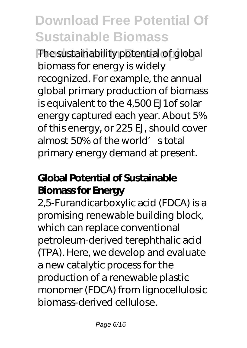**The sustainability potential of global** biomass for energy is widely recognized. For example, the annual global primary production of biomass is equivalent to the 4,500 EJ1of solar energy captured each year. About 5% of this energy, or 225 EJ, should cover almost 50% of the world's total primary energy demand at present.

### **Global Potential of Sustainable Biomass for Energy**

2,5-Furandicarboxylic acid (FDCA) is a promising renewable building block, which can replace conventional petroleum-derived terephthalic acid (TPA). Here, we develop and evaluate a new catalytic process for the production of a renewable plastic monomer (FDCA) from lignocellulosic biomass-derived cellulose.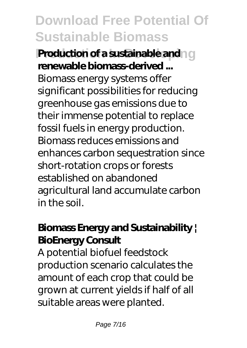**Production of a sustainable and a given renewable biomass-derived ...** Biomass energy systems offer significant possibilities for reducing greenhouse gas emissions due to their immense potential to replace fossil fuels in energy production. Biomass reduces emissions and enhances carbon sequestration since short-rotation crops or forests established on abandoned agricultural land accumulate carbon in the soil.

### **Biomass Energy and Sustainability | BioEnergy Consult**

A potential biofuel feedstock production scenario calculates the amount of each crop that could be grown at current yields if half of all suitable areas were planted.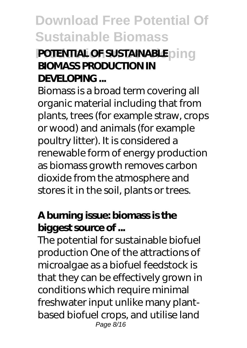### **POTENTIAL OF SUSTAINABLED** in a **BIOMASS PRODUCTION IN DEVELOPING ...**

Biomass is a broad term covering all organic material including that from plants, trees (for example straw, crops or wood) and animals (for example poultry litter). It is considered a renewable form of energy production as biomass growth removes carbon dioxide from the atmosphere and stores it in the soil, plants or trees.

#### **A burning issue: biomass is the biggest source of ...**

The potential for sustainable biofuel production One of the attractions of microalgae as a biofuel feedstock is that they can be effectively grown in conditions which require minimal freshwater input unlike many plantbased biofuel crops, and utilise land Page 8/16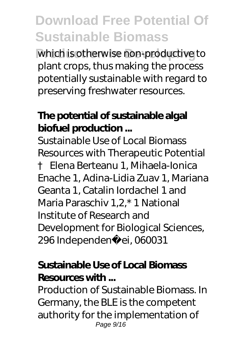which is otherwise non-productive to plant crops, thus making the process potentially sustainable with regard to preserving freshwater resources.

#### **The potential of sustainable algal biofuel production ...**

Sustainable Use of Local Biomass Resources with Therapeutic Potential † Elena Berteanu 1, Mihaela-Ionica Enache 1, Adina-Lidia Zuav 1, Mariana Geanta 1, Catalin Iordachel 1 and Maria Paraschiv 1,2,\* 1 National Institute of Research and Development for Biological Sciences, 296 Independen ei, 060031

#### **Sustainable Use of Local Biomass Resources with ...**

Production of Sustainable Biomass. In Germany, the BLE is the competent authority for the implementation of Page 9/16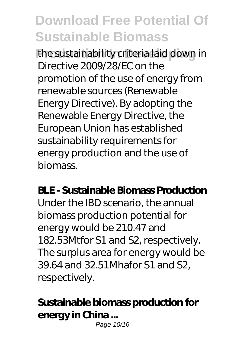**the sustainability criteria laid down in** Directive 2009/28/EC on the promotion of the use of energy from renewable sources (Renewable Energy Directive). By adopting the Renewable Energy Directive, the European Union has established sustainability requirements for energy production and the use of biomass.

#### **BLE - Sustainable Biomass Production**

Under the IBD scenario, the annual biomass production potential for energy would be 210.47 and 182.53Mtfor S1 and S2, respectively. The surplus area for energy would be 39.64 and 32.51Mhafor S1 and S2, respectively.

#### **Sustainable biomass production for energy in China ...**

Page 10/16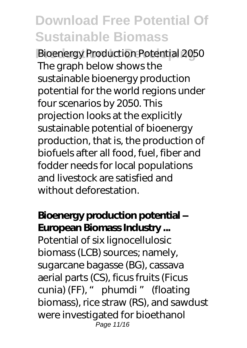**Bioenergy Production Potential 2050** The graph below shows the sustainable bioenergy production potential for the world regions under four scenarios by 2050. This projection looks at the explicitly sustainable potential of bioenergy production, that is, the production of biofuels after all food, fuel, fiber and fodder needs for local populations and livestock are satisfied and without deforestation.

### **Bioenergy production potential – European Biomass Industry ...**

Potential of six lignocellulosic biomass (LCB) sources; namely, sugarcane bagasse (BG), cassava aerial parts (CS), ficus fruits (Ficus cunia) (FF), " phumdi " (floating biomass), rice straw (RS), and sawdust were investigated for bioethanol Page 11/16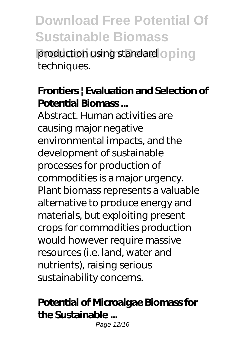**production using standard oping** techniques.

#### **Frontiers | Evaluation and Selection of Potential Biomass ...**

Abstract. Human activities are causing major negative environmental impacts, and the development of sustainable processes for production of commodities is a major urgency. Plant biomass represents a valuable alternative to produce energy and materials, but exploiting present crops for commodities production would however require massive resources (i.e. land, water and nutrients), raising serious sustainability concerns.

#### **Potential of Microalgae Biomass for the Sustainable ...**

Page 12/16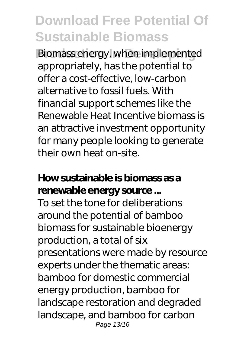**Biomass energy, when implemented** appropriately, has the potential to offer a cost-effective, low-carbon alternative to fossil fuels. With financial support schemes like the Renewable Heat Incentive biomass is an attractive investment opportunity for many people looking to generate their own heat on-site.

#### **How sustainable is biomass as a renewable energy source ...**

To set the tone for deliberations around the potential of bamboo biomass for sustainable bioenergy production, a total of six presentations were made by resource experts under the thematic areas: bamboo for domestic commercial energy production, bamboo for landscape restoration and degraded landscape, and bamboo for carbon Page 13/16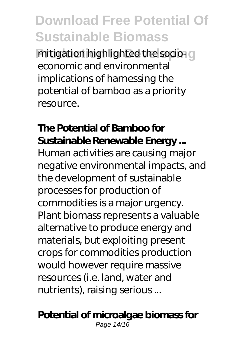**Production highlighted the socio-components** economic and environmental implications of harnessing the potential of bamboo as a priority resource.

#### **The Potential of Bamboo for Sustainable Renewable Energy ...**

Human activities are causing major negative environmental impacts, and the development of sustainable processes for production of commodities is a major urgency. Plant biomass represents a valuable alternative to produce energy and materials, but exploiting present crops for commodities production would however require massive resources (i.e. land, water and nutrients), raising serious ...

#### **Potential of microalgae biomass for**

Page 14/16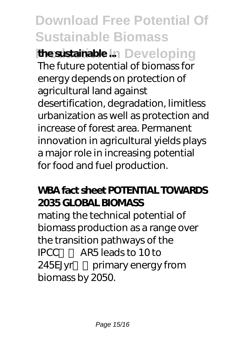### **Download Free Potential Of Sustainable Biomass the sustainable ...** Developing The future potential of biomass for energy depends on protection of agricultural land against desertification, degradation, limitless urbanization as well as protection and increase of forest area. Permanent innovation in agricultural yields plays a major role in increasing potential for food and fuel production.

#### **WBA fact sheet POTENTIAL TOWARDS 2035 GLOBAL BIOMASS**

mating the technical potential of biomass production as a range over the transition pathways of the IPCC窶冱 AR5 leads to 10 to 245EJyr primary energy from biomass by 2050.